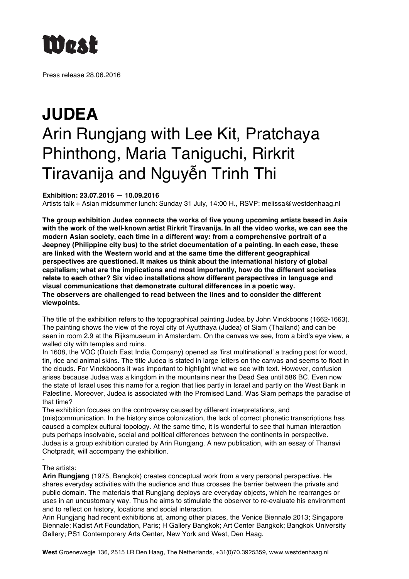

Press release 28.06.2016

## **JUDEA** Arin Rungjang with Lee Kit, Pratchaya Phinthong, Maria Taniguchi, Rirkrit Tiravanija and Nguyễn Trinh Thi

## **Exhibition: 23.07.2016 — 10.09.2016**

Artists talk + Asian midsummer lunch: Sunday 31 July, 14:00 H., RSVP: melissa@westdenhaag.nl

**The group exhibition Judea connects the works of five young upcoming artists based in Asia with the work of the well-known artist Rirkrit Tiravanija. In all the video works, we can see the modern Asian society, each time in a different way: from a comprehensive portrait of a Jeepney (Philippine city bus) to the strict documentation of a painting. In each case, these are linked with the Western world and at the same time the different geographical perspectives are questioned. It makes us think about the international history of global capitalism; what are the implications and most importantly, how do the different societies relate to each other? Six video installations show different perspectives in language and visual communications that demonstrate cultural differences in a poetic way. The observers are challenged to read between the lines and to consider the different viewpoints.**

The title of the exhibition refers to the topographical painting Judea by John Vinckboons (1662-1663). The painting shows the view of the royal city of Ayutthaya (Judea) of Siam (Thailand) and can be seen in room 2.9 at the Rijksmuseum in Amsterdam. On the canvas we see, from a bird's eye view, a walled city with temples and ruins.

In 1608, the VOC (Dutch East India Company) opened as 'first multinational' a trading post for wood, tin, rice and animal skins. The title Judea is stated in large letters on the canvas and seems to float in the clouds. For Vinckboons it was important to highlight what we see with text. However, confusion arises because Judea was a kingdom in the mountains near the Dead Sea until 586 BC. Even now the state of Israel uses this name for a region that lies partly in Israel and partly on the West Bank in Palestine. Moreover, Judea is associated with the Promised Land. Was Siam perhaps the paradise of that time?

The exhibition focuses on the controversy caused by different interpretations, and (mis)communication. In the history since colonization, the lack of correct phonetic transcriptions has caused a complex cultural topology. At the same time, it is wonderful to see that human interaction puts perhaps insolvable, social and political differences between the continents in perspective. Judea is a group exhibition curated by Arin Rungjang. A new publication, with an essay of Thanavi Chotpradit, will accompany the exhibition.

## - The artists:

**Arin Rungjang** (1975, Bangkok) creates conceptual work from a very personal perspective. He shares everyday activities with the audience and thus crosses the barrier between the private and public domain. The materials that Rungjang deploys are everyday objects, which he rearranges or uses in an uncustomary way. Thus he aims to stimulate the observer to re-evaluate his environment and to reflect on history, locations and social interaction.

Arin Rungjang had recent exhibitions at, among other places, the Venice Biennale 2013; Singapore Biennale; Kadist Art Foundation, Paris; H Gallery Bangkok; Art Center Bangkok; Bangkok University Gallery; PS1 Contemporary Arts Center, New York and West, Den Haag.